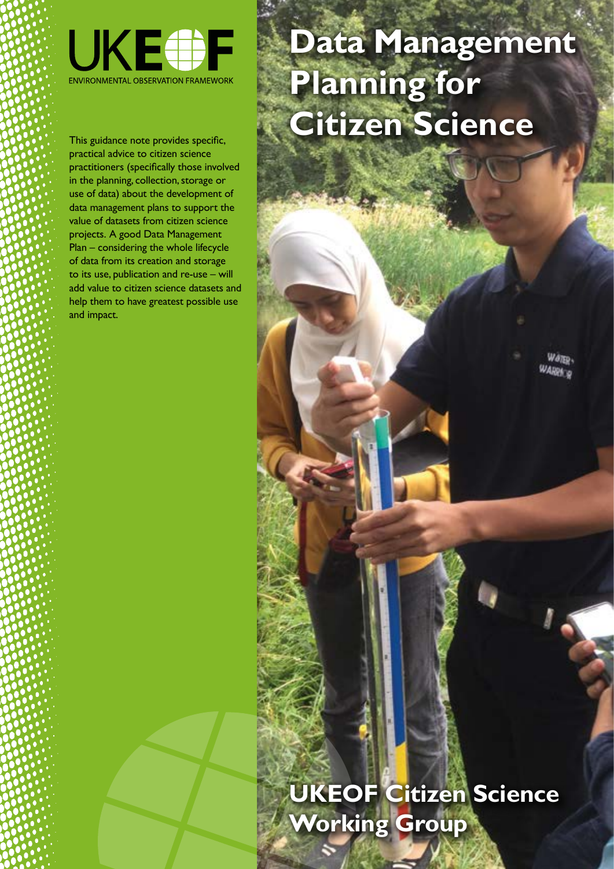

This guidance note provides specific, practical advice to citizen science practitioners (specifically those involved in the planning, collection, storage or use of data) about the development of data management plans to support the value of datasets from citizen science projects. A good Data Management Plan – considering the whole lifecycle of data from its creation and storage to its use, publication and re-use – will add value to citizen science datasets and help them to have greatest possible use and impact.

# **Data Management Planning for Citizen Science**

WOTED. **WARRY** O

## **UKEOF Citizen Science Working Group**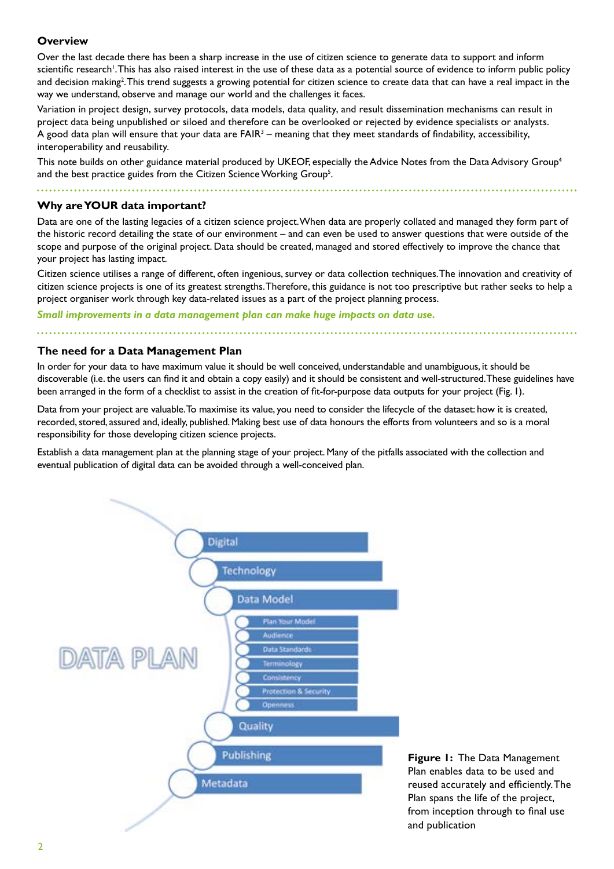#### **Overview**

Over the last decade there has been a sharp increase in the use of citizen science to generate data to support and inform scientific research'.This has also raised interest in the use of these data as a potential source of evidence to inform public policy and decision making<sup>2</sup>.This trend suggests a growing potential for citizen science to create data that can have a real impact in the way we understand, observe and manage our world and the challenges it faces.

Variation in project design, survey protocols, data models, data quality, and result dissemination mechanisms can result in project data being unpublished or siloed and therefore can be overlooked or rejected by evidence specialists or analysts. A good data plan will ensure that your data are  ${\sf FAIR^3}$  – meaning that they meet standards of findability, accessibility, interoperability and reusability.

This note builds on other guidance material produced by UKEOF, especially the Advice Notes from the Data Advisory Group<sup>4</sup> and the best practice guides from the Citizen Science Working Group<sup>s</sup>.

#### **Why are YOUR data important?**

Data are one of the lasting legacies of a citizen science project. When data are properly collated and managed they form part of the historic record detailing the state of our environment – and can even be used to answer questions that were outside of the scope and purpose of the original project. Data should be created, managed and stored effectively to improve the chance that your project has lasting impact.

Citizen science utilises a range of different, often ingenious, survey or data collection techniques. The innovation and creativity of citizen science projects is one of its greatest strengths. Therefore, this guidance is not too prescriptive but rather seeks to help a project organiser work through key data-related issues as a part of the project planning process.

*Small improvements in a data management plan can make huge impacts on data use.*

#### **The need for a Data Management Plan**

In order for your data to have maximum value it should be well conceived, understandable and unambiguous, it should be discoverable (i.e. the users can find it and obtain a copy easily) and it should be consistent and well-structured. These guidelines have been arranged in the form of a checklist to assist in the creation of fit-for-purpose data outputs for your project (Fig. 1).

Data from your project are valuable. To maximise its value, you need to consider the lifecycle of the dataset: how it is created, recorded, stored, assured and, ideally, published. Making best use of data honours the efforts from volunteers and so is a moral responsibility for those developing citizen science projects.

Establish a data management plan at the planning stage of your project. Many of the pitfalls associated with the collection and eventual publication of digital data can be avoided through a well-conceived plan.



**Figure 1:** The Data Management Plan enables data to be used and reused accurately and efficiently. The Plan spans the life of the project, from inception through to final use and publication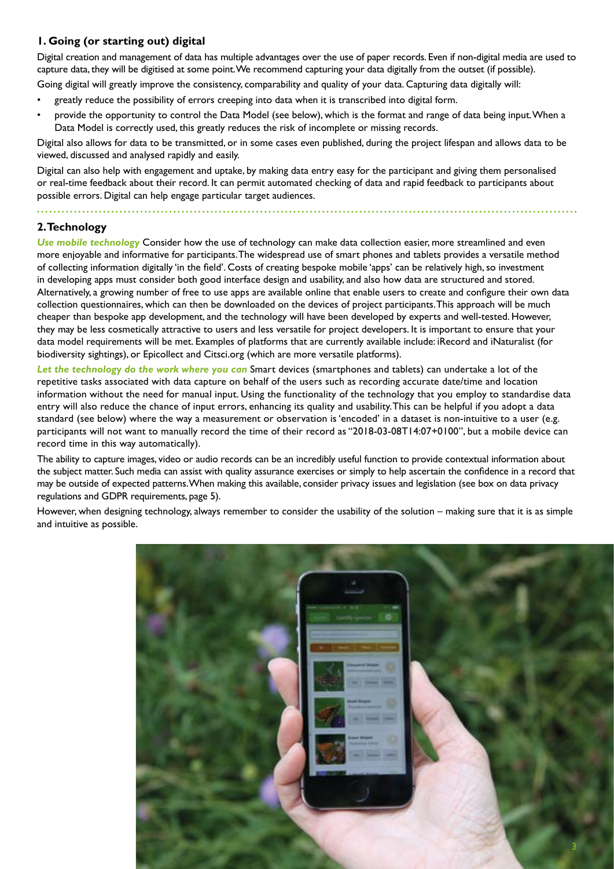#### **1. Going (or starting out) digital**

Digital creation and management of data has multiple advantages over the use of paper records. Even if non-digital media are used to capture data, they will be digitised at some point. We recommend capturing your data digitally from the outset (if possible).

Going digital will greatly improve the consistency, comparability and quality of your data. Capturing data digitally will:

- greatly reduce the possibility of errors creeping into data when it is transcribed into digital form.
- provide the opportunity to control the Data Model (see below), which is the format and range of data being input. When a Data Model is correctly used, this greatly reduces the risk of incomplete or missing records.

Digital also allows for data to be transmitted, or in some cases even published, during the project lifespan and allows data to be viewed, discussed and analysed rapidly and easily.

Digital can also help with engagement and uptake, by making data entry easy for the participant and giving them personalised or real-time feedback about their record. It can permit automated checking of data and rapid feedback to participants about possible errors. Digital can help engage particular target audiences.

#### **2. Technology**

*Use mobile technology* Consider how the use of technology can make data collection easier, more streamlined and even more enjoyable and informative for participants. The widespread use of smart phones and tablets provides a versatile method of collecting information digitally 'in the field'. Costs of creating bespoke mobile 'apps' can be relatively high, so investment in developing apps must consider both good interface design and usability, and also how data are structured and stored. Alternatively, a growing number of free to use apps are available online that enable users to create and configure their own data collection questionnaires, which can then be downloaded on the devices of project participants. This approach will be much cheaper than bespoke app development, and the technology will have been developed by experts and well-tested. However, they may be less cosmetically attractive to users and less versatile for project developers. It is important to ensure that your data model requirements will be met. Examples of platforms that are currently available include: iRecord and iNaturalist (for biodiversity sightings), or Epicollect and Citsci.org (which are more versatile platforms).

*Let the technology do the work where you can* Smart devices (smartphones and tablets) can undertake a lot of the repetitive tasks associated with data capture on behalf of the users such as recording accurate date/time and location information without the need for manual input. Using the functionality of the technology that you employ to standardise data entry will also reduce the chance of input errors, enhancing its quality and usability. This can be helpful if you adopt a data standard (see below) where the way a measurement or observation is 'encoded' in a dataset is non-intuitive to a user (e.g. participants will not want to manually record the time of their record as "2018-03-08T14:07+0100", but a mobile device can record time in this way automatically).

The ability to capture images, video or audio records can be an incredibly useful function to provide contextual information about the subject matter. Such media can assist with quality assurance exercises or simply to help ascertain the confidence in a record that may be outside of expected patterns. When making this available, consider privacy issues and legislation (see box on data privacy regulations and GDPR requirements, page 5).

However, when designing technology, always remember to consider the usability of the solution – making sure that it is as simple and intuitive as possible.

![](_page_2_Picture_13.jpeg)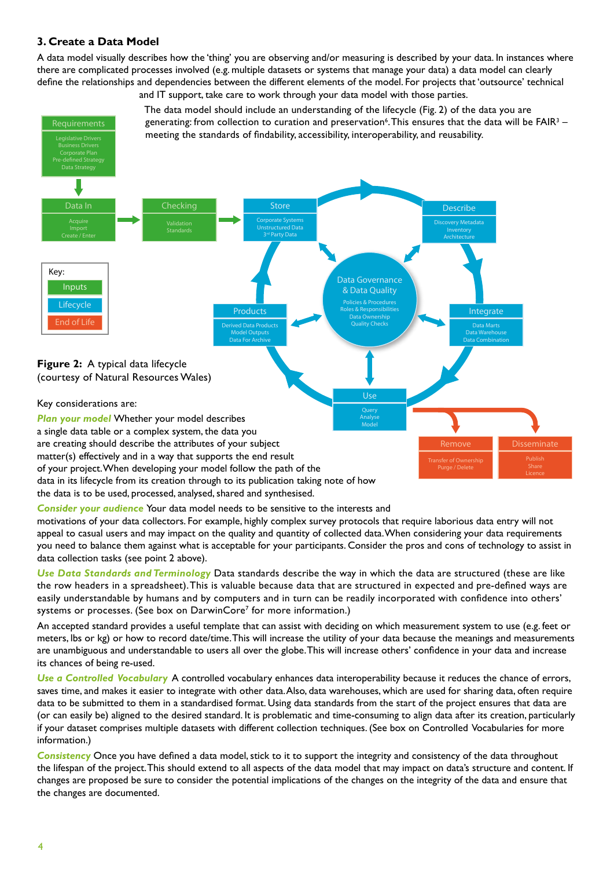#### **3. Create a Data Model**

A data model visually describes how the 'thing' you are observing and/or measuring is described by your data. In instances where there are complicated processes involved (e.g. multiple datasets or systems that manage your data) a data model can clearly define the relationships and dependencies between the different elements of the model. For projects that 'outsource' technical

![](_page_3_Figure_2.jpeg)

*Consider your audience* Your data model needs to be sensitive to the interests and

motivations of your data collectors. For example, highly complex survey protocols that require laborious data entry will not appeal to casual users and may impact on the quality and quantity of collected data. When considering your data requirements you need to balance them against what is acceptable for your participants. Consider the pros and cons of technology to assist in data collection tasks (see point 2 above).

*Use Data Standards and Terminology* Data standards describe the way in which the data are structured (these are like the row headers in a spreadsheet). This is valuable because data that are structured in expected and pre-defined ways are easily understandable by humans and by computers and in turn can be readily incorporated with confidence into others' systems or processes. (See box on DarwinCore<sup>7</sup> for more information.)

An accepted standard provides a useful template that can assist with deciding on which measurement system to use (e.g. feet or meters, lbs or kg) or how to record date/time. This will increase the utility of your data because the meanings and measurements are unambiguous and understandable to users all over the globe. This will increase others' confidence in your data and increase its chances of being re-used.

*Use a Controlled Vocabulary* A controlled vocabulary enhances data interoperability because it reduces the chance of errors, saves time, and makes it easier to integrate with other data. Also, data warehouses, which are used for sharing data, often require data to be submitted to them in a standardised format. Using data standards from the start of the project ensures that data are (or can easily be) aligned to the desired standard. It is problematic and time-consuming to align data after its creation, particularly if your dataset comprises multiple datasets with different collection techniques. (See box on Controlled Vocabularies for more information.)

*Consistency* Once you have defined a data model, stick to it to support the integrity and consistency of the data throughout the lifespan of the project. This should extend to all aspects of the data model that may impact on data's structure and content. If changes are proposed be sure to consider the potential implications of the changes on the integrity of the data and ensure that the changes are documented.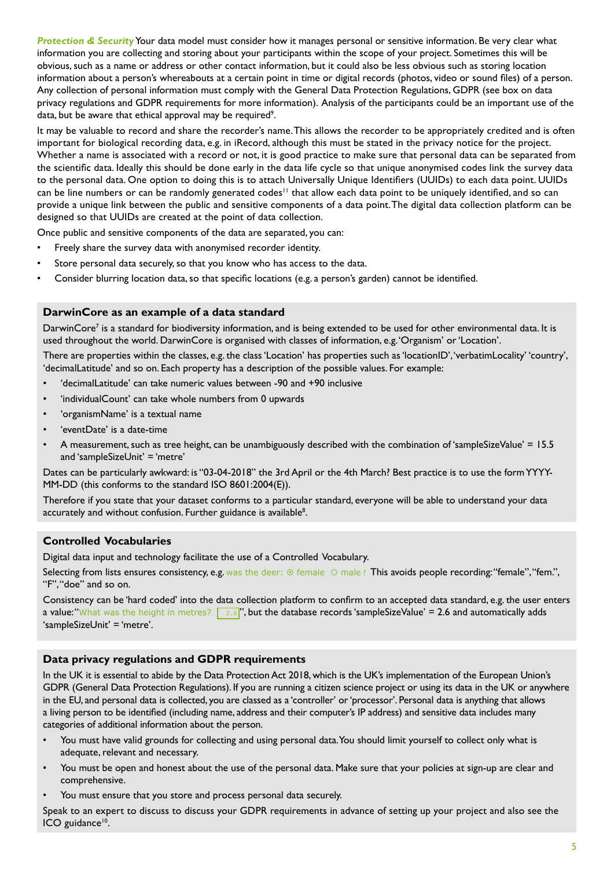**Protection & Security Your data model must consider how it manages personal or sensitive information. Be very clear what** information you are collecting and storing about your participants within the scope of your project. Sometimes this will be obvious, such as a name or address or other contact information, but it could also be less obvious such as storing location information about a person's whereabouts at a certain point in time or digital records (photos, video or sound files) of a person. Any collection of personal information must comply with the General Data Protection Regulations, GDPR (see box on data privacy regulations and GDPR requirements for more information). Analysis of the participants could be an important use of the data, but be aware that ethical approval may be required<sup>9</sup>.

It may be valuable to record and share the recorder's name. This allows the recorder to be appropriately credited and is often important for biological recording data, e.g. in iRecord, although this must be stated in the privacy notice for the project. Whether a name is associated with a record or not, it is good practice to make sure that personal data can be separated from the scientific data. Ideally this should be done early in the data life cycle so that unique anonymised codes link the survey data to the personal data. One option to doing this is to attach Universally Unique Identifiers (UUIDs) to each data point. UUIDs can be line numbers or can be randomly generated codes<sup>11</sup> that allow each data point to be uniquely identified, and so can provide a unique link between the public and sensitive components of a data point. The digital data collection platform can be designed so that UUIDs are created at the point of data collection.

Once public and sensitive components of the data are separated, you can:

- Freely share the survey data with anonymised recorder identity.
- Store personal data securely, so that you know who has access to the data.
- Consider blurring location data, so that specific locations (e.g. a person's garden) cannot be identified.

#### **DarwinCore as an example of a data standard**

DarwinCore<sup>7</sup> is a standard for biodiversity information, and is being extended to be used for other environmental data. It is used throughout the world. DarwinCore is organised with classes of information, e.g. 'Organism' or 'Location'.

There are properties within the classes, e.g. the class 'Location' has properties such as 'locationID', 'verbatimLocality' 'country', 'decimalLatitude' and so on. Each property has a description of the possible values. For example:

- 'decimalLatitude' can take numeric values between -90 and +90 inclusive
- 'individualCount' can take whole numbers from 0 upwards
- 'organismName' is a textual name
- 'eventDate' is a date-time
- A measurement, such as tree height, can be unambiguously described with the combination of 'sampleSizeValue' = 15.5 and 'sampleSizeUnit' = 'metre'

Dates can be particularly awkward: is "03-04-2018" the 3rd April or the 4th March? Best practice is to use the form YYYY-MM-DD (this conforms to the standard ISO 8601:2004(E)).

Therefore if you state that your dataset conforms to a particular standard, everyone will be able to understand your data accurately and without confusion. Further guidance is available $^{\rm 8}$ .

#### **Controlled Vocabularies**

Digital data input and technology facilitate the use of a Controlled Vocabulary.

Selecting from lists ensures consistency, e.g. was the deer:  $\odot$  female  $\odot$  male ? This avoids people recording: "female", "fem.", "F", "doe" and so on.

Consistency can be 'hard coded' into the data collection platform to confirm to an accepted data standard, e.g. the user enters a value: "What was the height in metres? **2.6<sup></sup>"**, but the database records 'sampleSizeValue' = 2.6 and automatically adds 'sampleSizeUnit' = 'metre'.

#### **Data privacy regulations and GDPR requirements**

In the UK it is essential to abide by the Data Protection Act 2018, which is the UK's implementation of the European Union's GDPR (General Data Protection Regulations). If you are running a citizen science project or using its data in the UK or anywhere in the EU, and personal data is collected, you are classed as a 'controller' or 'processor'. Personal data is anything that allows a living person to be identified (including name, address and their computer's IP address) and sensitive data includes many categories of additional information about the person.

- You must have valid grounds for collecting and using personal data. You should limit yourself to collect only what is adequate, relevant and necessary.
- You must be open and honest about the use of the personal data. Make sure that your policies at sign-up are clear and comprehensive.
- You must ensure that you store and process personal data securely.

Speak to an expert to discuss to discuss your GDPR requirements in advance of setting up your project and also see the ICO guidance<sup>10</sup>.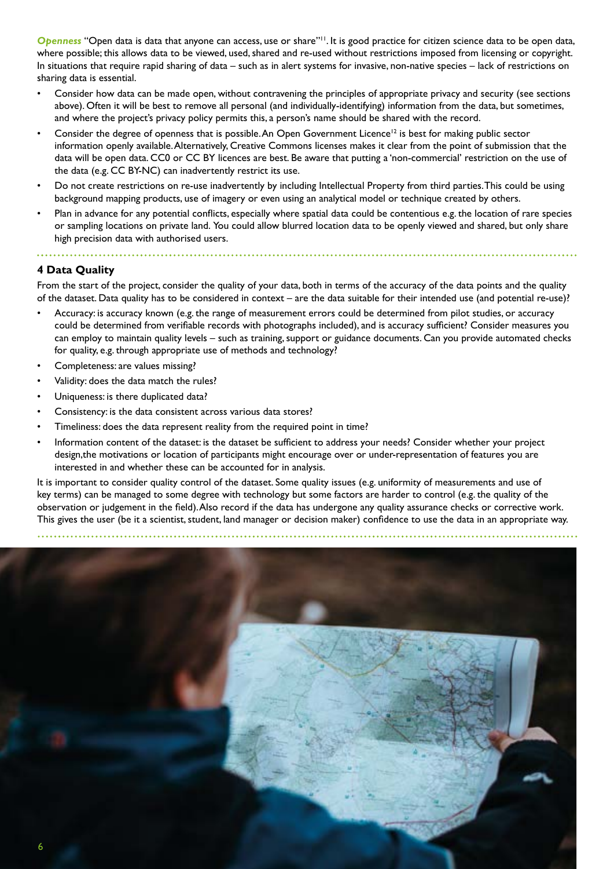*Openness* "Open data is data that anyone can access, use or share"<sup>11</sup>. It is good practice for citizen science data to be open data, where possible; this allows data to be viewed, used, shared and re-used without restrictions imposed from licensing or copyright. In situations that require rapid sharing of data – such as in alert systems for invasive, non-native species – lack of restrictions on sharing data is essential.

- Consider how data can be made open, without contravening the principles of appropriate privacy and security (see sections above). Often it will be best to remove all personal (and individually-identifying) information from the data, but sometimes, and where the project's privacy policy permits this, a person's name should be shared with the record.
- Consider the degree of openness that is possible. An Open Government Licence<sup>12</sup> is best for making public sector information openly available. Alternatively, Creative Commons licenses makes it clear from the point of submission that the data will be open data. CC0 or CC BY licences are best. Be aware that putting a 'non-commercial' restriction on the use of the data (e.g. CC BY-NC) can inadvertently restrict its use.
- Do not create restrictions on re-use inadvertently by including Intellectual Property from third parties. This could be using background mapping products, use of imagery or even using an analytical model or technique created by others.
- Plan in advance for any potential conflicts, especially where spatial data could be contentious e.g. the location of rare species or sampling locations on private land. You could allow blurred location data to be openly viewed and shared, but only share high precision data with authorised users.

#### **4 Data Quality**

From the start of the project, consider the quality of your data, both in terms of the accuracy of the data points and the quality of the dataset. Data quality has to be considered in context – are the data suitable for their intended use (and potential re-use)?

- Accuracy: is accuracy known (e.g. the range of measurement errors could be determined from pilot studies, or accuracy could be determined from verifiable records with photographs included), and is accuracy sufficient? Consider measures you can employ to maintain quality levels – such as training, support or guidance documents. Can you provide automated checks for quality, e.g. through appropriate use of methods and technology?
- Completeness: are values missing?
- Validity: does the data match the rules?
- Uniqueness: is there duplicated data?
- Consistency: is the data consistent across various data stores?
- Timeliness: does the data represent reality from the required point in time?
- Information content of the dataset: is the dataset be sufficient to address your needs? Consider whether your project design,the motivations or location of participants might encourage over or under-representation of features you are interested in and whether these can be accounted for in analysis.

It is important to consider quality control of the dataset. Some quality issues (e.g. uniformity of measurements and use of key terms) can be managed to some degree with technology but some factors are harder to control (e.g. the quality of the observation or judgement in the field). Also record if the data has undergone any quality assurance checks or corrective work. This gives the user (be it a scientist, student, land manager or decision maker) confidence to use the data in an appropriate way.

![](_page_5_Picture_15.jpeg)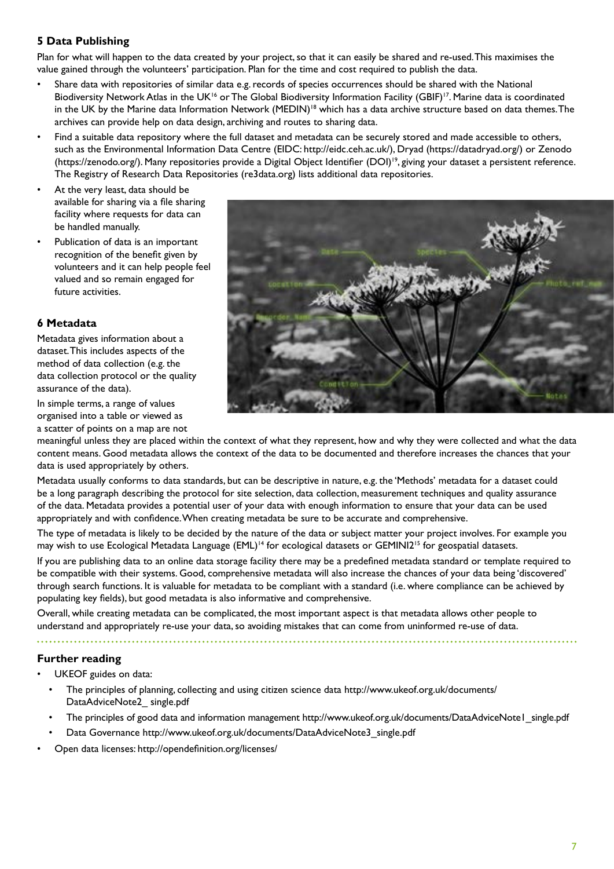#### **5 Data Publishing**

Plan for what will happen to the data created by your project, so that it can easily be shared and re-used. This maximises the value gained through the volunteers' participation. Plan for the time and cost required to publish the data.

- Share data with repositories of similar data e.g. records of species occurrences should be shared with the National Biodiversity Network Atlas in the UK<sup>16</sup> or The Global Biodiversity Information Facility (GBIF)<sup>17</sup>. Marine data is coordinated in the UK by the Marine data Information Network (MEDIN)<sup>18</sup> which has a data archive structure based on data themes. The archives can provide help on data design, archiving and routes to sharing data.
- Find a suitable data repository where the full dataset and metadata can be securely stored and made accessible to others, such as the Environmental Information Data Centre (EIDC: http://eidc.ceh.ac.uk/), Dryad (https://datadryad.org/) or Zenodo (https://zenodo.org/). Many repositories provide a Digital Object Identifier (DOI)<sup>19</sup>, giving your dataset a persistent reference. The Registry of Research Data Repositories (re3data.org) lists additional data repositories.
- At the very least, data should be available for sharing via a file sharing facility where requests for data can be handled manually.
- Publication of data is an important recognition of the benefit given by volunteers and it can help people feel valued and so remain engaged for future activities.

#### **6 Metadata**

Metadata gives information about a dataset. This includes aspects of the method of data collection (e.g. the data collection protocol or the quality assurance of the data).

In simple terms, a range of values organised into a table or viewed as a scatter of points on a map are not

![](_page_6_Picture_9.jpeg)

meaningful unless they are placed within the context of what they represent, how and why they were collected and what the data content means. Good metadata allows the context of the data to be documented and therefore increases the chances that your data is used appropriately by others.

Metadata usually conforms to data standards, but can be descriptive in nature, e.g. the 'Methods' metadata for a dataset could be a long paragraph describing the protocol for site selection, data collection, measurement techniques and quality assurance of the data. Metadata provides a potential user of your data with enough information to ensure that your data can be used appropriately and with confidence. When creating metadata be sure to be accurate and comprehensive.

The type of metadata is likely to be decided by the nature of the data or subject matter your project involves. For example you may wish to use Ecological Metadata Language (EML)<sup>14</sup> for ecological datasets or GEMINI2<sup>15</sup> for geospatial datasets.

If you are publishing data to an online data storage facility there may be a predefined metadata standard or template required to be compatible with their systems. Good, comprehensive metadata will also increase the chances of your data being 'discovered' through search functions. It is valuable for metadata to be compliant with a standard (i.e. where compliance can be achieved by populating key fields), but good metadata is also informative and comprehensive.

Overall, while creating metadata can be complicated, the most important aspect is that metadata allows other people to understand and appropriately re-use your data, so avoiding mistakes that can come from uninformed re-use of data.

#### **Further reading**

- UKEOF guides on data:
	- The principles of planning, collecting and using citizen science data http://www.ukeof.org.uk/documents/ DataAdviceNote2\_ single.pdf
	- The principles of good data and information management http://www.ukeof.org.uk/documents/DataAdviceNote1\_single.pdf
- Data Governance http://www.ukeof.org.uk/documents/DataAdviceNote3\_single.pdf
- Open data licenses: http://opendefinition.org/licenses/